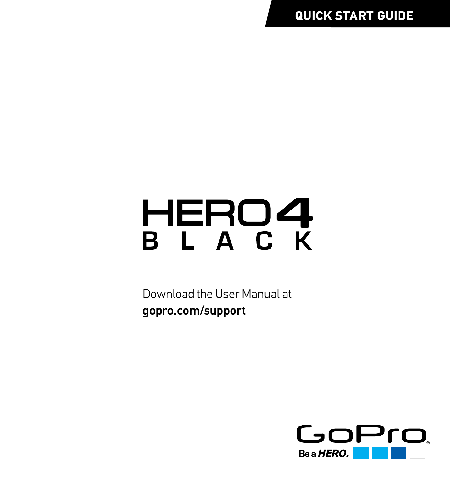**QUICK START GUIDE**

# HERO4 BLACK

Download the User Manual at gopro.com/support

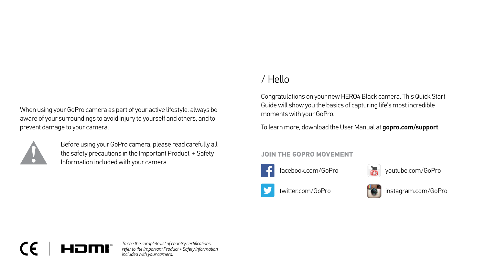When using your GoPro camera as part of your active lifestyle, always be aware of your surroundings to avoid injury to yourself and others, and to prevent damage to your camera.



Before using your GoPro camera, please read carefully all the safety precautions in the Important Product + Safety Information included with your camera.

## / Hello

Congratulations on your new HERO4 Black camera. This Quick Start Guide will show you the basics of capturing life's most incredible moments with your GoPro.

To learn more, download the User Manual at **gopro.com/support**.

### **JOIN THE GOPRO MOVEMENT**



facebook.com/GoPro **WOU YOUTUBE.com/GoPro** 

twitter.com/GoPro





instagram.com/GoPro

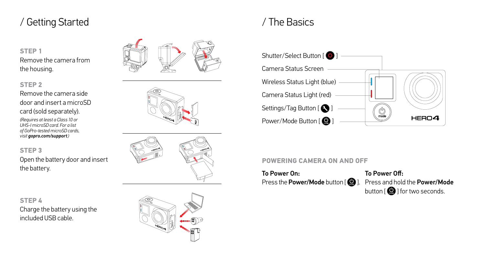## / Getting Started / The Basics

### **STEP 1** Remove the camera from the housing.

### **STEP 2**

Remove the camera side door and insert a microSD card (sold separately).

*(Requires at least a Class 10 or UHS-I microSD card. For a list of GoPro-tested microSD cards, visit gopro.com/support.)*

**STEP 3** Open the battery door and insert the battery.

**STEP 4** Charge the battery using the included USB cable.





### **POWERING CAMERA ON AND OFF**

To Power On: Press the **Power/Mode** button  $[$   $]$ . To Power Off: Press and hold the Power/Mode button  $[$   $]$  for two seconds.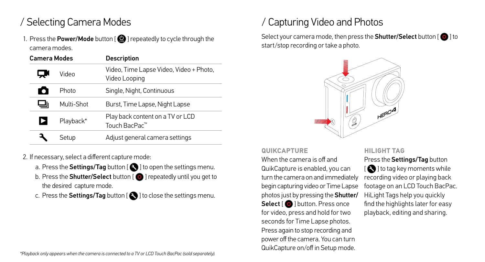## / Selecting Camera Modes

1. Press the **Power/Mode** button  $\Box$  **D** I repeatedly to cycle through the camera modes.

| <b>Camera Modes</b> |            | <b>Description</b>                                       |
|---------------------|------------|----------------------------------------------------------|
| ا پ                 | Video      | Video, Time Lapse Video, Video + Photo,<br>Video Looping |
| О                   | Photo      | Single, Night, Continuous                                |
|                     | Multi-Shot | Burst, Time Lapse, Night Lapse                           |
| Þ                   | Playback*  | Play back content on a TV or LCD<br>Touch BacPac™        |
|                     | Setup      | Adjust general camera settings                           |

2. If necessary, select a different capture mode:

- a. Press the **Settings/Tag** button  $\left[\bigodot\right]$  to open the settings menu.
- b. Press the **Shutter/Select** button  $\lceil \bigcirc \bigcirc \rceil$  repeatedly until you get to the desired capture mode.
- c. Press the Settings/Tag button  $[$   $]$  to close the settings menu.

# / Capturing Video and Photos

Select your camera mode, then press the **Shutter/Select** button  $\begin{bmatrix} \textcircled{0} \end{bmatrix}$  to start/stop recording or take a photo.



### **QUIKCAPTURE**

When the camera is off and QuikCapture is enabled, you can turn the camera on and immediately begin capturing video or Time Lapse photos just by pressing the Shutter/ Select [  $\bigcirc$  ] button. Press once for video, press and hold for two seconds for Time Lapse photos. Press again to stop recording and power off the camera. You can turn QuikCapture on/off in Setup mode.

### **HILIGHT TAG**

Press the Settings/Tag button  $[$   $]$  to tag key moments while recording video or playing back footage on an LCD Touch BacPac. HiLight Tags help you quickly find the highlights later for easy playback, editing and sharing.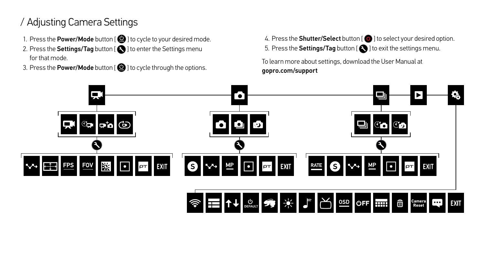## / Adjusting Camera Settings

- 1. Press the Power/Mode button  $[$   $\bigcirc$   $]$  to cycle to your desired mode.
- 2. Press the Settings/Tag button  $\lceil \bullet \rceil$  to enter the Settings menu for that mode.
- 3. Press the Power/Mode button  $[$   $\bigcirc$   $]$  to cycle through the options.

4. Press the **Shutter/Select** button  $[$   $\bigcirc$   $]$  to select your desired option. 5. Press the Settings/Tag button  $[$   $\bigcirc$  ] to exit the settings menu.

To learn more about settings, download the User Manual at gopro.com/support

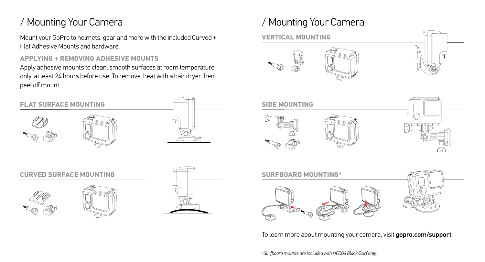## / Mounting Your Camera

Mount your GoPro to helmets, gear and more with the included Curved + Flat Adhesive Mounts and hardware.

### **APPLYING + REMOVING ADHESIVE MOUNTS**

Apply adhesive mounts to clean, smooth surfaces at room temperature only, at least 24 hours before use. To remove, heat with a hair dryer then peel off mount.





**CURVED SURFACE MOUNTING**

## / Mounting Your Camera

### **VERTICAL MOUNTING**









To learn more about mounting your camera, visit gopro.com/support.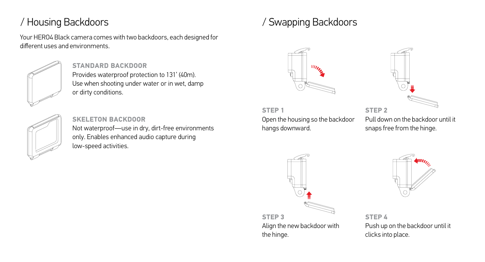Your HERO4 Black camera comes with two backdoors, each designed for different uses and environments.



## **STANDARD BACKDOOR**

Provides waterproof protection to 131' (40m). Use when shooting under water or in wet, damp or dirty conditions.



**SKELETON BACKDOOR** Not waterproof—use in dry, dirt-free environments only. Enables enhanced audio capture during low-speed activities.

## / Housing Backdoors / Swapping Backdoors



### **STEP 1** Open the housing so the backdoor hangs downward.



**STEP 2** Pull down on the backdoor until it snaps free from the hinge.



**STEP 3** Align the new backdoor with the hinge.



**STEP 4** Push up on the backdoor until it clicks into place.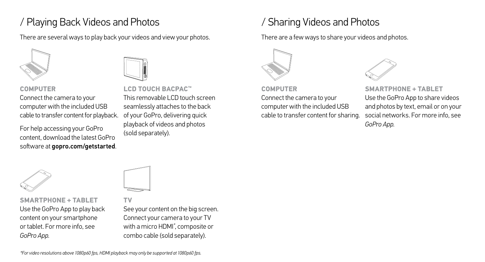## / Playing Back Videos and Photos

There are several ways to play back your videos and view your photos.



### **COMPUTER**

Connect the camera to your computer with the included USB cable to transfer content for playback.

For help accessing your GoPro content, download the latest GoPro software at **gopro.com/getstarted**.

**LCD TOUCH BACPAC™** This removable LCD touch screen seamlessly attaches to the back of your GoPro, delivering quick playback of videos and photos (sold separately).

## / Sharing Videos and Photos

There are a few ways to share your videos and photos.



### **COMPUTER**

Connect the camera to your computer with the included USB cable to transfer content for sharing.



**SMARTPHONE + TABLET** Use the GoPro App to share videos and photos by text, email or on your social networks. For more info, see *GoPro App*.



**SMARTPHONE + TABLET** Use the GoPro App to play back content on your smartphone or tablet. For more info, see *GoPro App*.



### **TV**

See your content on the big screen. Connect your camera to your TV with a micro HDMI*\** , composite or combo cable (sold separately).